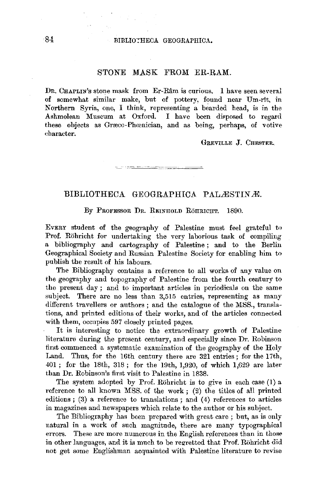## $84$  BIBLIOTHECA GEOGRAPHICA.

## STONE MASK FROM ER-RAM.

DR. CHAPLIN's stone mask from Er-Râm is curious. I have seen several of somewhat similar make, but of pottery, found near Um-rit, in Northern Syria, one, I think, representing a bearded head, is in the I have been disposed to regard these objects as Græco-Phœnician, and as being, perhaps, of votive eharacter.

GREVILLE J. CHESTER.

## BIBLIOTHECA GEOGRAPHICA PALÆSTINÆ.

<u> 1989 - Andrew Marie Barbara, professor e</u>

By PROFESSOR DR. REINHOLD RÖHRICHT. 1890.

EVERY student of the geography of Palestine must feel grateful to Prof. Röhricht for undertaking the very laborious task of compiling a bibliography and cartography of Palestine ; and to the Berlin Geographical Society and Russian Palestine Society for enabling him to publish the result of his labours.

The Bibliography contains a reference to all works of any value on the geography and topography of Palestine from the fourth century to the present day; and to important articles in periodicals on the same subject. There are no less than 3,515 entries, representing as many different travellers or authors ; and the catalogue of the MSS., translations, and printed editions of their works, and of the articles connected with them, occupies 597 closely printed pages.

It is interesting to notice the extraordinary growth of Palestine literature during the present century, and especially since Dr. Robinson first commenced a systematic examination of the geography of the Holy Land. Thus, for the 16th century there are 321 entries; for the 17th, 401 ; for the 18th, 318 ; for the 19th, 1,920, of which 1,629 are later than Dr. Robinson's first visit to Palestine in 1838.

The system adopted by Prof. Rohricht is to give in each case (1) a reference to all known MSS. of the work ; (2) the titles of all printed editions ; (3) a reference to translations ; and (4) references to articles in magazines and newspapers which relate to the author or his subject.

The Bibliography has been prepared with great care ; but, as is only natural in a work of such magnitude, there are many typographical errors. These are more numerous in the English references than in those in other languages, and it is much to be regretted that Prof. Rohricht did not get some Englishman acquainted with Palestine literature to revise